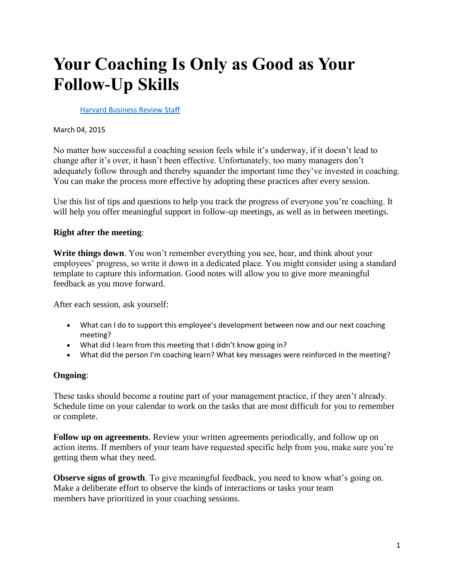## **Your Coaching Is Only as Good as Your Follow-Up Skills**

[Harvard Business Review Staff](https://hbr.org/search?term=harvard+business+review+staff)

March 04, 2015

No matter how successful a coaching session feels while it's underway, if it doesn't lead to change after it's over, it hasn't been effective. Unfortunately, too many managers don't adequately follow through and thereby squander the important time they've invested in coaching. You can make the process more effective by adopting these practices after every session.

Use this list of tips and questions to help you track the progress of everyone you're coaching. It will help you offer meaningful support in follow-up meetings, as well as in between meetings.

## **Right after the meeting**:

**Write things down**. You won't remember everything you see, hear, and think about your employees' progress, so write it down in a dedicated place. You might consider using a standard template to capture this information. Good notes will allow you to give more meaningful feedback as you move forward.

After each session, ask yourself:

- What can I do to support this employee's development between now and our next coaching meeting?
- What did I learn from this meeting that I didn't know going in?
- What did the person I'm coaching learn? What key messages were reinforced in the meeting?

## **Ongoing**:

These tasks should become a routine part of your management practice, if they aren't already. Schedule time on your calendar to work on the tasks that are most difficult for you to remember or complete.

**Follow up on agreements**. Review your written agreements periodically, and follow up on action items. If members of your team have requested specific help from you, make sure you're getting them what they need.

**Observe signs of growth**. To give meaningful feedback, you need to know what's going on. Make a deliberate effort to observe the kinds of interactions or tasks your team members have prioritized in your coaching sessions.